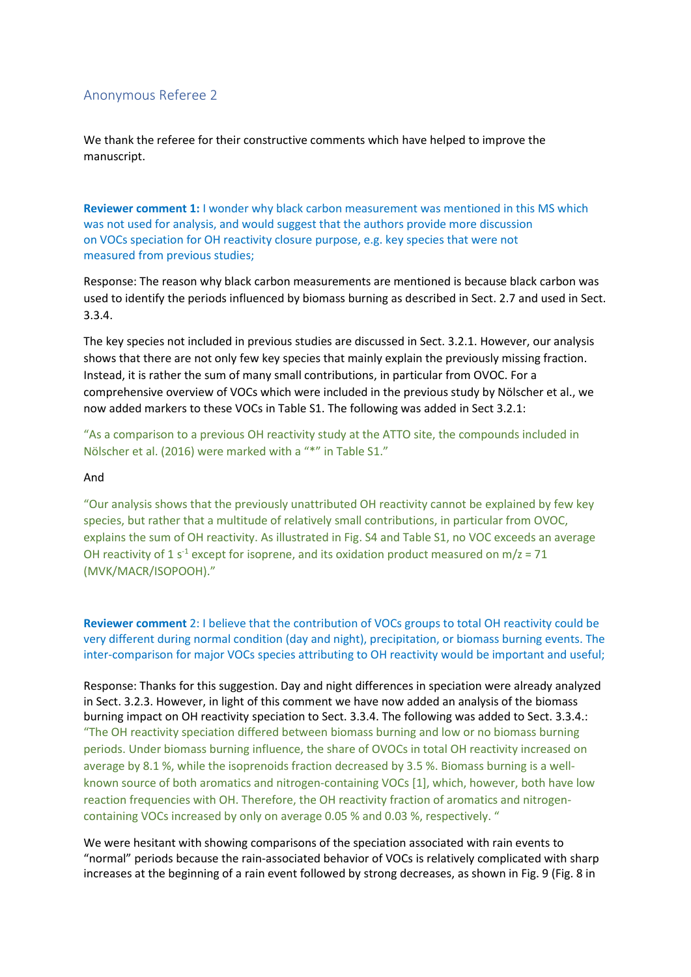## Anonymous Referee 2

We thank the referee for their constructive comments which have helped to improve the manuscript.

**Reviewer comment 1:** I wonder why black carbon measurement was mentioned in this MS which was not used for analysis, and would suggest that the authors provide more discussion on VOCs speciation for OH reactivity closure purpose, e.g. key species that were not measured from previous studies;

Response: The reason why black carbon measurements are mentioned is because black carbon was used to identify the periods influenced by biomass burning as described in Sect. 2.7 and used in Sect. 3.3.4.

The key species not included in previous studies are discussed in Sect. 3.2.1. However, our analysis shows that there are not only few key species that mainly explain the previously missing fraction. Instead, it is rather the sum of many small contributions, in particular from OVOC. For a comprehensive overview of VOCs which were included in the previous study by Nölscher et al., we now added markers to these VOCs in Table S1. The following was added in Sect 3.2.1:

"As a comparison to a previous OH reactivity study at the ATTO site, the compounds included in Nölscher et al. (2016) were marked with a "\*" in Table S1."

## And

"Our analysis shows that the previously unattributed OH reactivity cannot be explained by few key species, but rather that a multitude of relatively small contributions, in particular from OVOC, explains the sum of OH reactivity. As illustrated in Fig. S4 and Table S1, no VOC exceeds an average OH reactivity of 1 s<sup>-1</sup> except for isoprene, and its oxidation product measured on m/z = 71 (MVK/MACR/ISOPOOH)."

**Reviewer comment** 2: I believe that the contribution of VOCs groups to total OH reactivity could be very different during normal condition (day and night), precipitation, or biomass burning events. The inter-comparison for major VOCs species attributing to OH reactivity would be important and useful;

Response: Thanks for this suggestion. Day and night differences in speciation were already analyzed in Sect. 3.2.3. However, in light of this comment we have now added an analysis of the biomass burning impact on OH reactivity speciation to Sect. 3.3.4. The following was added to Sect. 3.3.4.: "The OH reactivity speciation differed between biomass burning and low or no biomass burning periods. Under biomass burning influence, the share of OVOCs in total OH reactivity increased on average by 8.1 %, while the isoprenoids fraction decreased by 3.5 %. Biomass burning is a wellknown source of both aromatics and nitrogen-containing VOCs [1], which, however, both have low reaction frequencies with OH. Therefore, the OH reactivity fraction of aromatics and nitrogencontaining VOCs increased by only on average 0.05 % and 0.03 %, respectively. "

We were hesitant with showing comparisons of the speciation associated with rain events to "normal" periods because the rain-associated behavior of VOCs is relatively complicated with sharp increases at the beginning of a rain event followed by strong decreases, as shown in Fig. 9 (Fig. 8 in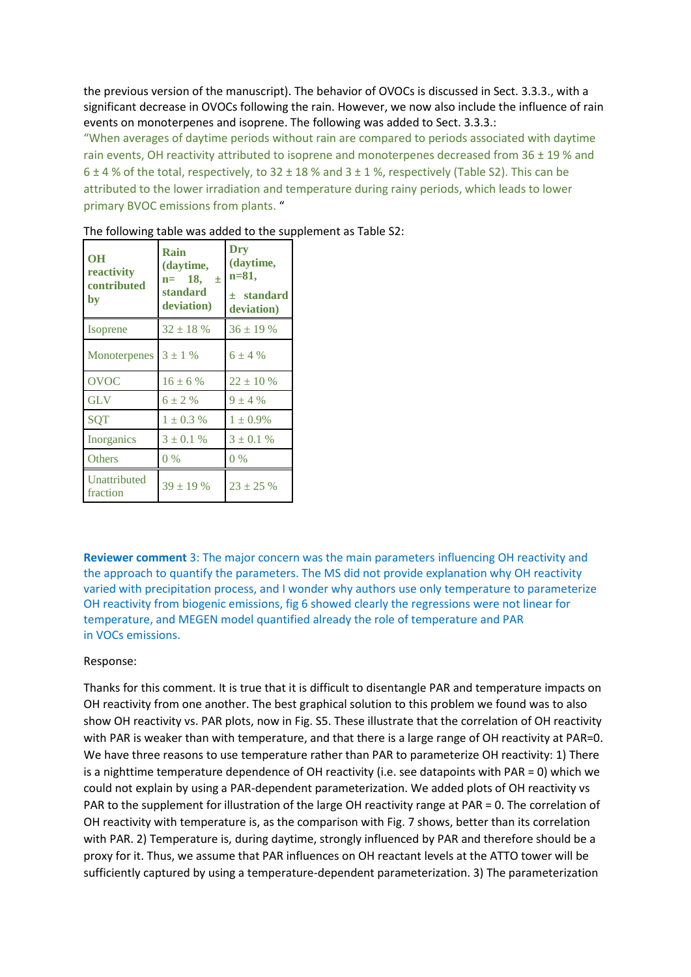the previous version of the manuscript). The behavior of OVOCs is discussed in Sect. 3.3.3., with a significant decrease in OVOCs following the rain. However, we now also include the influence of rain events on monoterpenes and isoprene. The following was added to Sect. 3.3.3.:

"When averages of daytime periods without rain are compared to periods associated with daytime rain events, OH reactivity attributed to isoprene and monoterpenes decreased from 36 ± 19 % and 6  $\pm$  4 % of the total, respectively, to 32  $\pm$  18 % and 3  $\pm$  1 %, respectively (Table S2). This can be attributed to the lower irradiation and temperature during rainy periods, which leads to lower primary BVOC emissions from plants. "

| <b>OH</b><br>reactivity<br>contributed<br>by | Rain<br>(daytime,<br>$n=$ 18,<br>土<br>standard<br>deviation) | Dry<br>(daytime,<br>n=81,<br>$\pm$ standard<br>deviation) |
|----------------------------------------------|--------------------------------------------------------------|-----------------------------------------------------------|
| Isoprene                                     | $32 \pm 18$ %                                                | $36 \pm 19\%$                                             |
| <b>Monoterpenes</b>                          | $3 \pm 1$ %                                                  | $6 \pm 4 \%$                                              |
| <b>OVOC</b>                                  | $16 \pm 6 \%$                                                | $22 \pm 10\%$                                             |
| <b>GLV</b>                                   | $6 \pm 2 \%$                                                 | $9 \pm 4 \%$                                              |
| <b>SQT</b>                                   | $1 \pm 0.3 \%$                                               | $1 \pm 0.9\%$                                             |
| Inorganics                                   | $3 \pm 0.1 \%$                                               | $3 \pm 0.1 \%$                                            |
| Others                                       | $0\%$                                                        | $0\%$                                                     |
| Unattributed<br>fraction                     | $39 \pm 19$ %                                                | $23 + 25%$                                                |

The following table was added to the supplement as Table S2:

**Reviewer comment** 3: The major concern was the main parameters influencing OH reactivity and the approach to quantify the parameters. The MS did not provide explanation why OH reactivity varied with precipitation process, and I wonder why authors use only temperature to parameterize OH reactivity from biogenic emissions, fig 6 showed clearly the regressions were not linear for temperature, and MEGEN model quantified already the role of temperature and PAR in VOCs emissions.

## Response:

Thanks for this comment. It is true that it is difficult to disentangle PAR and temperature impacts on OH reactivity from one another. The best graphical solution to this problem we found was to also show OH reactivity vs. PAR plots, now in Fig. S5. These illustrate that the correlation of OH reactivity with PAR is weaker than with temperature, and that there is a large range of OH reactivity at PAR=0. We have three reasons to use temperature rather than PAR to parameterize OH reactivity: 1) There is a nighttime temperature dependence of OH reactivity (i.e. see datapoints with PAR = 0) which we could not explain by using a PAR-dependent parameterization. We added plots of OH reactivity vs PAR to the supplement for illustration of the large OH reactivity range at PAR = 0. The correlation of OH reactivity with temperature is, as the comparison with Fig. 7 shows, better than its correlation with PAR. 2) Temperature is, during daytime, strongly influenced by PAR and therefore should be a proxy for it. Thus, we assume that PAR influences on OH reactant levels at the ATTO tower will be sufficiently captured by using a temperature-dependent parameterization. 3) The parameterization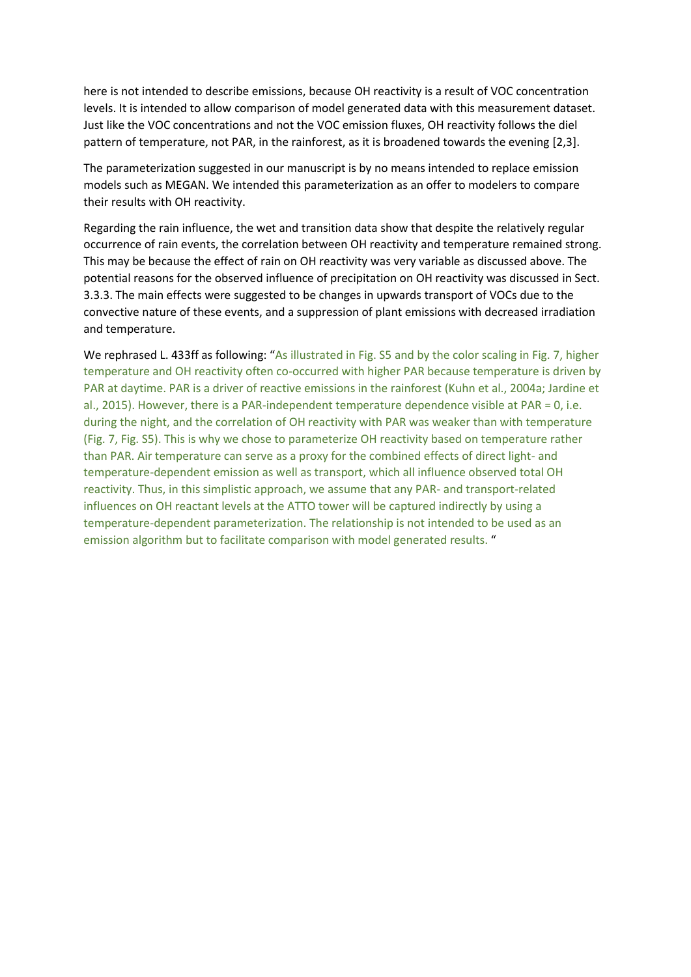here is not intended to describe emissions, because OH reactivity is a result of VOC concentration levels. It is intended to allow comparison of model generated data with this measurement dataset. Just like the VOC concentrations and not the VOC emission fluxes, OH reactivity follows the diel pattern of temperature, not PAR, in the rainforest, as it is broadened towards the evening [2,3].

The parameterization suggested in our manuscript is by no means intended to replace emission models such as MEGAN. We intended this parameterization as an offer to modelers to compare their results with OH reactivity.

Regarding the rain influence, the wet and transition data show that despite the relatively regular occurrence of rain events, the correlation between OH reactivity and temperature remained strong. This may be because the effect of rain on OH reactivity was very variable as discussed above. The potential reasons for the observed influence of precipitation on OH reactivity was discussed in Sect. 3.3.3. The main effects were suggested to be changes in upwards transport of VOCs due to the convective nature of these events, and a suppression of plant emissions with decreased irradiation and temperature.

We rephrased L. 433ff as following: "As illustrated in Fig. S5 and by the color scaling in Fig. 7, higher temperature and OH reactivity often co-occurred with higher PAR because temperature is driven by PAR at daytime. PAR is a driver of reactive emissions in the rainforest (Kuhn et al., 2004a; Jardine et al., 2015). However, there is a PAR-independent temperature dependence visible at PAR = 0, i.e. during the night, and the correlation of OH reactivity with PAR was weaker than with temperature (Fig. 7, Fig. S5). This is why we chose to parameterize OH reactivity based on temperature rather than PAR. Air temperature can serve as a proxy for the combined effects of direct light- and temperature-dependent emission as well as transport, which all influence observed total OH reactivity. Thus, in this simplistic approach, we assume that any PAR- and transport-related influences on OH reactant levels at the ATTO tower will be captured indirectly by using a temperature-dependent parameterization. The relationship is not intended to be used as an emission algorithm but to facilitate comparison with model generated results. "